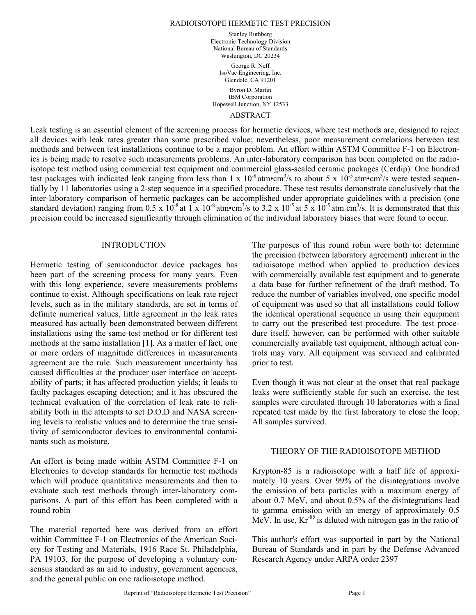Stanley Ruthberg Electronic Technology Division National Bureau of Standards Washington, DC 20234 George R. Neff IsoVac Engineering, Inc. Glendale, CA 91201

Byron D. Martin IBM Corporation Hopewell Junction, NY 12533

# ABSTRACT

Leak testing is an essential element of the screening process for hermetic devices, where test methods are, designed to reject all devices with leak rates greater than some prescribed value; nevertheless, poor measurement correlations between test methods and between test installations continue to be a major problem. An effort within ASTM Committee F-1 on Electronics is being made to resolve such measurements problems. An inter-laboratory comparison has been completed on the radioisotope test method using commercial test equipment and commercial glass-sealed ceramic packages (Cerdip). One hundred test packages with indicated leak ranging from less than 1 x  $10^{-8}$  atm•cm<sup>3</sup>/s to about 5 x  $10^{-5}$  atm•cm<sup>3</sup>/s were tested sequentially by 11 laboratories using a 2-step sequence in a specified procedure. These test results demonstrate conclusively that the inter-laboratory comparison of hermetic packages can be accomplished under appropriate guidelines with a precision (one standard deviation) ranging from 0.5 x  $10^{-8}$  at 1 x  $10^{-8}$  atm•cm<sup>3</sup>/s to 3.2 x  $10^{-5}$  at 5 x  $10^{-5}$  atm cm<sup>3</sup>/s. It is demonstrated that this precision could be increased significantly through elimination of the individual laboratory biases that were found to occur.

# INTRODUCTION

Hermetic testing of semiconductor device packages has been part of the screening process for many years. Even with this long experience, severe measurements problems continue to exist. Although specifications on leak rate reject levels, such as in the military standards, are set in terms of definite numerical values, little agreement in the leak rates measured has actually been demonstrated between different installations using the same test method or for different test methods at the same installation [1]. As a matter of fact, one or more orders of magnitude differences in measurements agreement are the rule. Such measurement uncertainty has caused difficulties at the producer user interface on acceptability of parts; it has affected production yields; it leads to faulty packages escaping detection; and it has obscured the technical evaluation of the correlation of leak rate to reliability both in the attempts to set D.O.D and NASA screening levels to realistic values and to determine the true sensitivity of semiconductor devices to environmental contaminants such as moisture.

An effort is being made within ASTM Committee F-1 on Electronics to develop standards for hermetic test methods which will produce quantitative measurements and then to evaluate such test methods through inter-laboratory comparisons. A part of this effort has been completed with a round robin

The material reported here was derived from an effort within Committee F-1 on Electronics of the American Society for Testing and Materials, 1916 Race St. Philadelphia, PA 19103, for the purpose of developing a voluntary consensus standard as an aid to industry, government agencies, and the general public on one radioisotope method.

The purposes of this round robin were both to: determine the precision (between laboratory agreement) inherent in the radioisotope method when applied to production devices with commercially available test equipment and to generate a data base for further refinement of the draft method. To reduce the number of variables involved, one specific model of equipment was used so that all installations could follow the identical operational sequence in using their equipment to carry out the prescribed test procedure. The test procedure itself, however, can be performed with other suitable commercially available test equipment, although actual controls may vary. All equipment was serviced and calibrated prior to test.

Even though it was not clear at the onset that real package leaks were sufficiently stable for such an exercise. the test samples were circulated through 10 laboratories with a final repeated test made by the first laboratory to close the loop. All samples survived.

# THEORY OF THE RADIOISOTOPE METHOD

Krypton-85 is a radioisotope with a half life of approximately 10 years. Over 99% of the disintegrations involve the emission of beta particles with a maximum energy of about 0.7 MeV, and about 0.5% of the disintegrations lead to gamma emission with an energy of approximately 0.5 MeV. In use,  $Kr<sup>85</sup>$  is diluted with nitrogen gas in the ratio of

This author's effort was supported in part by the National Bureau of Standards and in part by the Defense Advanced Research Agency under ARPA order 2397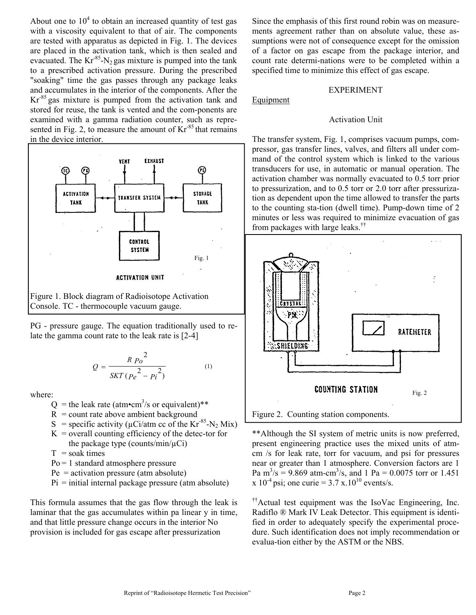About one to  $10<sup>4</sup>$  to obtain an increased quantity of test gas with a viscosity equivalent to that of air. The components are tested with apparatus as depicted in Fig. 1. The devices are placed in the activation tank, which is then sealed and evacuated. The  $Kr<sup>85</sup>-N<sub>2</sub>$  gas mixture is pumped into the tank to a prescribed activation pressure. During the prescribed "soaking" time the gas passes through any package leaks and accumulates in the interior of the components. After the  $Kr<sup>85</sup>$  gas mixture is pumped from the activation tank and stored for reuse, the tank is vented and the com-ponents are examined with a gamma radiation counter, such as represented in Fig. 2, to measure the amount of  $Kr<sup>-85</sup>$  that remains in the device interior.



Figure 1. Block diagram of Radioisotope Activation Console. TC - thermocouple vacuum gauge.

PG - pressure gauge. The equation traditionally used to relate the gamma count rate to the leak rate is [2-4]

$$
Q = \frac{R P_0^2}{SKT (P_e^2 - P_i^2)}
$$
 (1)

where:

- $Q =$  the leak rate (atm•cm<sup>3</sup>/s or equivalent)\*\*
	- $R =$  count rate above ambient background
	- S = specific activity ( $\mu$ Ci/atm cc of the Kr<sup>85</sup>-N<sub>2</sub> Mix)
	- $K =$  overall counting efficiency of the detec-tor for the package type (counts/min/ $\mu$ Ci)
	- $T =$ soak times
	- Po = 1 standard atmosphere pressure
	- $Pe =$  activation pressure (atm absolute)
	- $Pi =$  initial internal package pressure (atm absolute)

This formula assumes that the gas flow through the leak is laminar that the gas accumulates within pa linear y in time, and that little pressure change occurs in the interior No provision is included for gas escape after pressurization

Since the emphasis of this first round robin was on measurements agreement rather than on absolute value, these assumptions were not of consequence except for the omission of a factor on gas escape from the package interior, and count rate determi-nations were to be completed within a specified time to minimize this effect of gas escape.

# EXPERIMENT

Equipment

# Activation Unit

The transfer system, Fig. 1, comprises vacuum pumps, compressor, gas transfer lines, valves, and filters all under command of the control system which is linked to the various transducers for use, in automatic or manual operation. The activation chamber was normally evacuated to 0.5 torr prior to pressurization, and to 0.5 torr or 2.0 torr after pressurization as dependent upon the time allowed to transfer the parts to the counting sta-tion (dwell time). Pump-down time of 2 minutes or less was required to minimize evacuation of gas from packages with large leaks.††



\*\*Although the SI system of metric units is now preferred, present engineering practice uses the mixed units of atmcm /s for leak rate, torr for vacuum, and psi for pressures near or greater than 1 atmosphere. Conversion factors are 1 Pa m<sup>3</sup>/s = 9.869 atm-cm<sup>3</sup>/s, and 1 Pa = 0.0075 torr or 1.451 x  $10^{-4}$  psi; one curie = 3.7 x.10<sup>10</sup> events/s.

††Actual test equipment was the IsoVac Engineering, Inc. Radiflo ® Mark IV Leak Detector. This equipment is identified in order to adequately specify the experimental procedure. Such identification does not imply recommendation or evalua-tion either by the ASTM or the NBS.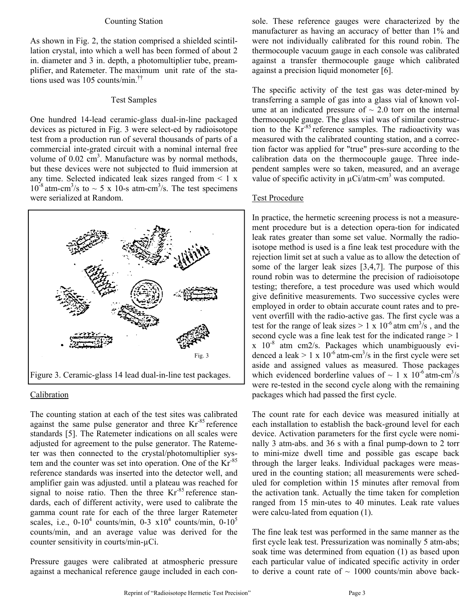# Counting Station

As shown in Fig. 2, the station comprised a shielded scintillation crystal, into which a well has been formed of about 2 in. diameter and 3 in. depth, a photomultiplier tube, preamplifier, and Ratemeter. The maximum unit rate of the stations used was 105 counts/min.††

# Test Samples

One hundred 14-lead ceramic-glass dual-in-line packaged devices as pictured in Fig. 3 were select-ed by radioisotope test from a production run of several thousands of parts of a commercial inte-grated circuit with a nominal internal free volume of  $0.02 \text{ cm}^3$ . Manufacture was by normal methods, but these devices were not subjected to fluid immersion at any time. Selected indicated leak sizes ranged from  $\leq 1$  x  $10^{-8}$  atm-cm<sup>3</sup>/s to  $\sim$  5 x 10-s atm-cm<sup>3</sup>/s. The test specimens were serialized at Random.



### Calibration

The counting station at each of the test sites was calibrated against the same pulse generator and three  $Kr<sup>85</sup>$  reference standards [5]. The Ratemeter indications on all scales were adjusted for agreement to the pulse generator. The Ratemeter was then connected to the crystal/photomultiplier system and the counter was set into operation. One of the Kr-85 reference standards was inserted into the detector well, and amplifier gain was adjusted. until a plateau was reached for signal to noise ratio. Then the three  $Kr<sup>85</sup>$  reference standards, each of different activity, were used to calibrate the gamma count rate for each of the three larger Ratemeter scales, i.e.,  $0-10^4$  counts/min,  $0-3 \times 10^4$  counts/min,  $0-10^5$ counts/min, and an average value was derived for the counter sensitivity in courts/min-µCi.

Pressure gauges were calibrated at atmospheric pressure against a mechanical reference gauge included in each console. These reference gauges were characterized by the manufacturer as having an accuracy of better than 1% and were not individually calibrated for this round robin. The thermocouple vacuum gauge in each console was calibrated against a transfer thermocouple gauge which calibrated against a precision liquid monometer [6].

The specific activity of the test gas was deter-mined by transferring a sample of gas into a glass vial of known volume at an indicated pressure of  $\sim$  2.0 torr on the internal thermocouple gauge. The glass vial was of similar construction to the Kr-85 reference samples. The radioactivity was measured with the calibrated counting station, and a correction factor was applied for "true" pres-sure according to the calibration data on the thermocouple gauge. Three independent samples were so taken, measured, and an average value of specific activity in  $\mu$ Ci/atm-cm<sup>3</sup> was computed.

## Test Procedure

In practice, the hermetic screening process is not a measurement procedure but is a detection opera-tion for indicated leak rates greater than some set value. Normally the radioisotope method is used is a fine leak test procedure with the rejection limit set at such a value as to allow the detection of some of the larger leak sizes [3,4,7]. The purpose of this round robin was to determine the precision of radioisotope testing; therefore, a test procedure was used which would give definitive measurements. Two successive cycles were employed in order to obtain accurate count rates and to prevent overfill with the radio-active gas. The first cycle was a test for the range of leak sizes  $> 1 \times 10^{-6}$  atm cm<sup>3</sup>/s, and the second cycle was a fine leak test for the indicated range  $> 1$  $x$  10<sup>-8</sup> atm cm2/s. Packages which unambiguously evidenced a leak  $> 1 \times 10^{-6}$  atm-cm<sup>3</sup>/s in the first cycle were set aside and assigned values as measured. Those packages which evidenced borderline values of  $\sim 1 \times 10^{-6}$  atm-cm<sup>3</sup>/s were re-tested in the second cycle along with the remaining packages which had passed the first cycle.

The count rate for each device was measured initially at each installation to establish the back-ground level for each device. Activation parameters for the first cycle were nominally 3 atm-abs. and 36 s with a final pump-down to 2 torr to mini-mize dwell time and possible gas escape back through the larger leaks. Individual packages were measured in the counting station; all measurements were scheduled for completion within 15 minutes after removal from the activation tank. Actually the time taken for completion ranged from 15 min-utes to 40 minutes. Leak rate values were calcu-lated from equation (1).

The fine leak test was performed in the same manner as the first cycle leak test. Pressurization was nominally 5 atm-abs; soak time was determined from equation (1) as based upon each particular value of indicated specific activity in order to derive a count rate of  $\sim 1000$  counts/min above back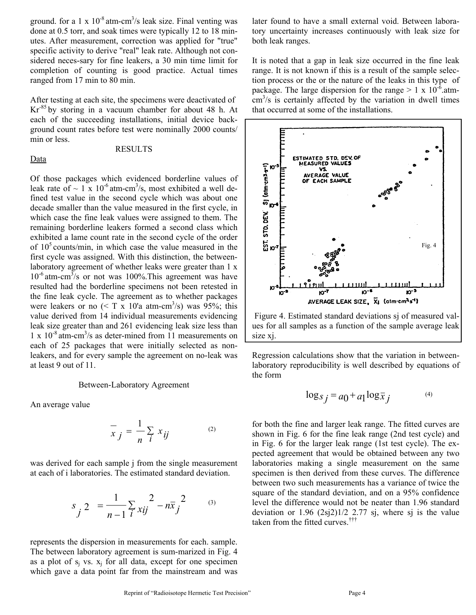ground. for a 1 x  $10^{-8}$  atm-cm<sup>3</sup>/s leak size. Final venting was done at 0.5 torr, and soak times were typically 12 to 18 minutes. After measurement, correction was applied for "true" specific activity to derive "real" leak rate. Although not considered neces-sary for fine leakers, a 30 min time limit for completion of counting is good practice. Actual times ranged from 17 min to 80 min.

After testing at each site, the specimens were deactivated of Kr-85 by storing in a vacuum chamber for about 48 h. At each of the succeeding installations, initial device background count rates before test were nominally 2000 counts/ min or less.

#### Data

### RESULTS

Of those packages which evidenced borderline values of leak rate of  $\sim 1 \times 10^{-6}$  atm-cm<sup>3</sup>/s, most exhibited a well defined test value in the second cycle which was about one decade smaller than the value measured in the first cycle, in which case the fine leak values were assigned to them. The remaining borderline leakers formed a second class which exhibited a lame count rate in the second cycle of the order of  $10<sup>5</sup>$  counts/min, in which case the value measured in the first cycle was assigned. With this distinction, the betweenlaboratory agreement of whether leaks were greater than 1 x  $10^{-6}$  atm-cm<sup>3</sup>/s or not was 100%. This agreement was have resulted had the borderline specimens not been retested in the fine leak cycle. The agreement as to whether packages were leakers or no  $(<$  T x 10'a atm-cm<sup>3</sup>/s) was 95%; this value derived from 14 individual measurements evidencing leak size greater than and 261 evidencing leak size less than  $1 \times 10^{-8}$  atm-cm<sup>3</sup>/s as deter-mined from 11 measurements on each of 25 packages that were initially selected as nonleakers, and for every sample the agreement on no-leak was at least 9 out of 11.

# Between-Laboratory Agreement

An average value

$$
\overline{x}_j = \frac{1}{n} \sum_i x_{ij} \tag{2}
$$

was derived for each sample j from the single measurement at each of i laboratories. The estimated standard deviation.

$$
s_j^2 = \frac{1}{n-1} \sum_{i} \frac{2}{xij} - n\overline{x}_j^2 \qquad (3)
$$

represents the dispersion in measurements for each. sample. The between laboratory agreement is sum-marized in Fig. 4 as a plot of  $s_i$  vs.  $x_i$  for all data, except for one specimen which gave a data point far from the mainstream and was

later found to have a small external void. Between laboratory uncertainty increases continuously with leak size for both leak ranges.

It is noted that a gap in leak size occurred in the fine leak range. It is not known if this is a result of the sample selection process or the or the nature of the leaks in this type of package. The large dispersion for the range  $> 1 \times 10^{-6}$ .atm- $\text{cm}^3$ /s is certainly affected by the variation in dwell times that occurred at some of the installations.



 Figure 4. Estimated standard deviations sj of measured values for all samples as a function of the sample average leak size xj.

Regression calculations show that the variation in betweenlaboratory reproducibility is well described by equations of the form

$$
\log s_j = a_0 + a_1 \log \bar{x}_j \tag{4}
$$

for both the fine and larger leak range. The fitted curves are shown in Fig. 6 for the fine leak range (2nd test cycle) and in Fig. 6 for the larger leak range (1st test cycle). The expected agreement that would be obtained between any two laboratories making a single measurement on the same specimen is then derived from these curves. The difference between two such measurements has a variance of twice the square of the standard deviation, and on a 95% confidence level the difference would not be neater than 1.96 standard deviation or  $1.96$   $(2sj2)1/2$  2.77 sj, where sj is the value taken from the fitted curves.†††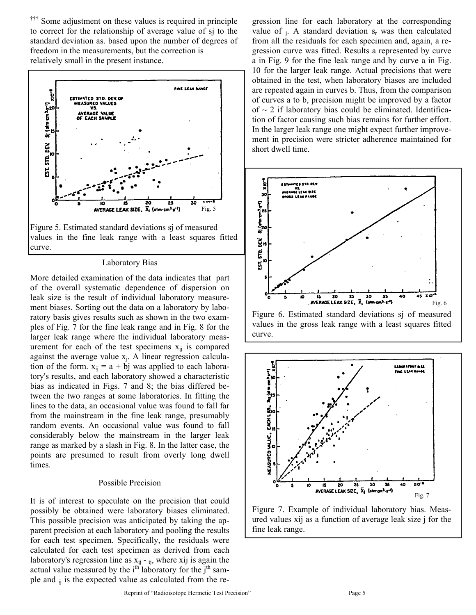Some adjustment on these values is required in principle to correct for the relationship of average value of sj to the standard deviation as. based upon the number of degrees of freedom in the measurements, but the correction is relatively small in the present instance.



values in the fine leak range with a least squares fitted curve.

### Laboratory Bias

More detailed examination of the data indicates that part of the overall systematic dependence of dispersion on leak size is the result of individual laboratory measurement biases. Sorting out the data on a laboratory by laboratory basis gives results such as shown in the two examples of Fig. 7 for the fine leak range and in Fig. 8 for the larger leak range where the individual laboratory measurement for each of the test specimens  $x_{ij}$  is compared against the average value  $x_j$ . A linear regression calculation of the form.  $x_{ij} = a + bj$  was applied to each laboratory's results, and each laboratory showed a characteristic bias as indicated in Figs. 7 and 8; the bias differed between the two ranges at some laboratories. In fitting the lines to the data, an occasional value was found to fall far from the mainstream in the fine leak range, presumably random events. An occasional value was found to fall considerably below the mainstream in the larger leak range as marked by a slash in Fig. 8. In the latter case, the points are presumed to result from overly long dwell times.

# Possible Precision

It is of interest to speculate on the precision that could possibly be obtained were laboratory biases eliminated. This possible precision was anticipated by taking the apparent precision at each laboratory and pooling the results for each test specimen. Specifically, the residuals were calculated for each test specimen as derived from each laboratory's regression line as  $x_{ij}$  -  $_{ij}$ , where xij is again the actual value measured by the  $i<sup>th</sup>$  laboratory for the  $j<sup>th</sup>$  sample and  $_{ii}$  is the expected value as calculated from the regression line for each laboratory at the corresponding value of  $_i$ . A standard deviation  $s_r$  was then calculated from all the residuals for each specimen and, again, a regression curve was fitted. Results a represented by curve a in Fig. 9 for the fine leak range and by curve a in Fig. 10 for the larger leak range. Actual precisions that were obtained in the test, when laboratory biases are included are repeated again in curves b. Thus, from the comparison of curves a to b, precision might be improved by a factor of  $\sim$  2 if laboratory bias could be eliminated. Identification of factor causing such bias remains for further effort. In the larger leak range one might expect further improvement in precision were stricter adherence maintained for short dwell time.



values in the gross leak range with a least squares fitted curve.



Figure 7. Example of individual laboratory bias. Measured values xij as a function of average leak size j for the fine leak range.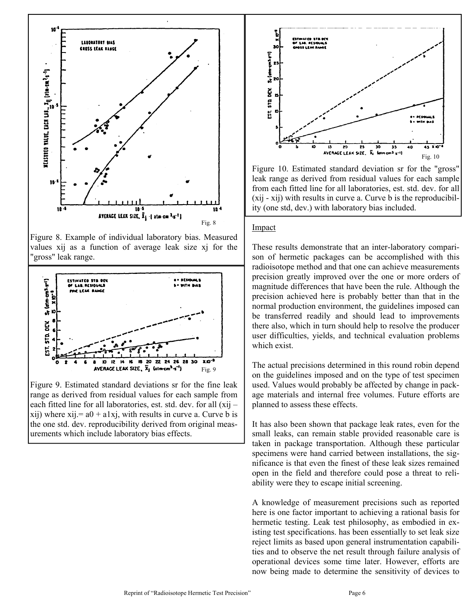

Figure 8. Example of individual laboratory bias. Measured values xij as a function of average leak size xj for the "gross" leak range.



Figure 9. Estimated standard deviations sr for the fine leak range as derived from residual values for each sample from each fitted line for all laboratories, est. std. dev. for all (xij –  $xii)$  where  $xi = a0 + a1xi$ , with results in curve a. Curve b is the one std. dev. reproducibility derived from original measurements which include laboratory bias effects.



Figure 10. Estimated standard deviation sr for the "gross" leak range as derived from residual values for each sample from each fitted line for all laboratories, est. std. dev. for all (xij - xij) with results in curve a. Curve b is the reproducibility (one std, dev.) with laboratory bias included.

# Impact

These results demonstrate that an inter-laboratory comparison of hermetic packages can be accomplished with this radioisotope method and that one can achieve measurements precision greatly improved over the one or more orders of magnitude differences that have been the rule. Although the precision achieved here is probably better than that in the normal production environment, the guidelines imposed can be transferred readily and should lead to improvements there also, which in turn should help to resolve the producer user difficulties, yields, and technical evaluation problems which exist.

The actual precisions determined in this round robin depend on the guidelines imposed and on the type of test specimen used. Values would probably be affected by change in package materials and internal free volumes. Future efforts are planned to assess these effects.

It has also been shown that package leak rates, even for the small leaks, can remain stable provided reasonable care is taken in package transportation. Although these particular specimens were hand carried between installations, the significance is that even the finest of these leak sizes remained open in the field and therefore could pose a threat to reliability were they to escape initial screening.

A knowledge of measurement precisions such as reported here is one factor important to achieving a rational basis for hermetic testing. Leak test philosophy, as embodied in existing test specifications. has been essentially to set leak size reject limits as based upon general instrumentation capabilities and to observe the net result through failure analysis of operational devices some time later. However, efforts are now being made to determine the sensitivity of devices to